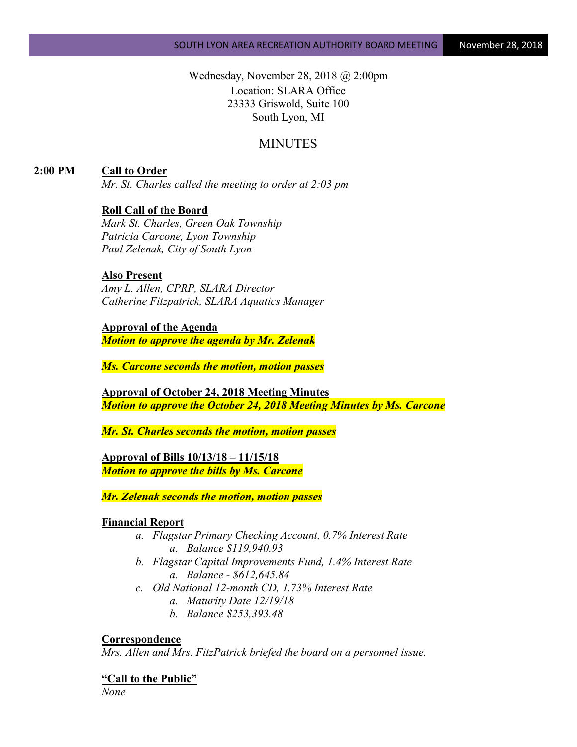Wednesday, November 28, 2018 @ 2:00pm Location: SLARA Office 23333 Griswold, Suite 100 South Lyon, MI

# MINUTES

**2:00 PM Call to Order**

*Mr. St. Charles called the meeting to order at 2:03 pm*

# **Roll Call of the Board**

*Mark St. Charles, Green Oak Township Patricia Carcone, Lyon Township Paul Zelenak, City of South Lyon*

#### **Also Present**

*Amy L. Allen, CPRP, SLARA Director Catherine Fitzpatrick, SLARA Aquatics Manager*

#### **Approval of the Agenda**

*Motion to approve the agenda by Mr. Zelenak*

*Ms. Carcone seconds the motion, motion passes*

**Approval of October 24, 2018 Meeting Minutes** *Motion to approve the October 24, 2018 Meeting Minutes by Ms. Carcone*

*Mr. St. Charles seconds the motion, motion passes*

**Approval of Bills 10/13/18 – 11/15/18** *Motion to approve the bills by Ms. Carcone*

*Mr. Zelenak seconds the motion, motion passes*

#### **Financial Report**

- *a. Flagstar Primary Checking Account, 0.7% Interest Rate a. Balance \$119,940.93*
- *b. Flagstar Capital Improvements Fund, 1.4% Interest Rate a. Balance - \$612,645.84*
- *c. Old National 12-month CD, 1.73% Interest Rate*
	- *a. Maturity Date 12/19/18*
	- *b. Balance \$253,393.48*

#### **Correspondence**

*Mrs. Allen and Mrs. FitzPatrick briefed the board on a personnel issue.*

**"Call to the Public"**

*None*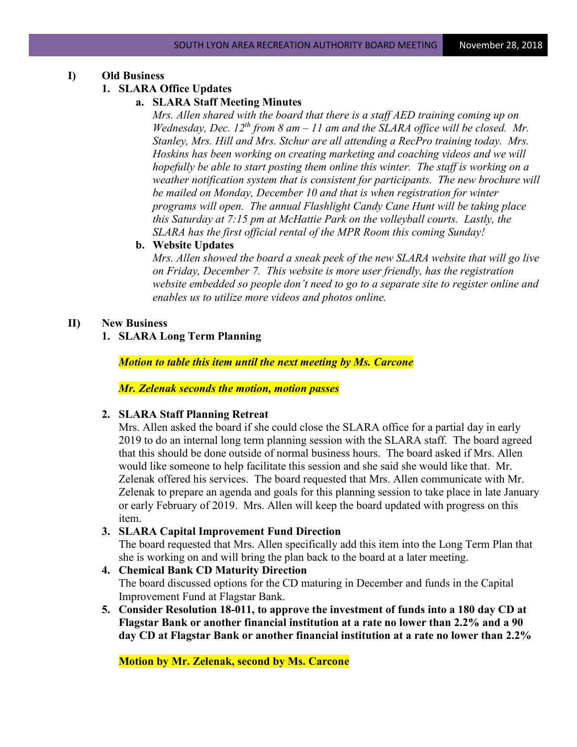## **I) Old Business**

## **1. SLARA Office Updates**

## **a. SLARA Staff Meeting Minutes**

*Mrs. Allen shared with the board that there is a staff AED training coming up on Wednesday, Dec. 12th from 8 am – 11 am and the SLARA office will be closed. Mr. Stanley, Mrs. Hill and Mrs. Stchur are all attending a RecPro training today. Mrs. Hoskins has been working on creating marketing and coaching videos and we will hopefully be able to start posting them online this winter. The staff is working on a weather notification system that is consistent for participants. The new brochure will be mailed on Monday, December 10 and that is when registration for winter programs will open. The annual Flashlight Candy Cane Hunt will be taking place this Saturday at 7:15 pm at McHattie Park on the volleyball courts. Lastly, the SLARA has the first official rental of the MPR Room this coming Sunday!*

#### **b. Website Updates**

*Mrs. Allen showed the board a sneak peek of the new SLARA website that will go live on Friday, December 7. This website is more user friendly, has the registration website embedded so people don't need to go to a separate site to register online and enables us to utilize more videos and photos online.*

#### **II) New Business**

## **1. SLARA Long Term Planning**

*Motion to table this item until the next meeting by Ms. Carcone*

*Mr. Zelenak seconds the motion, motion passes*

#### **2. SLARA Staff Planning Retreat**

Mrs. Allen asked the board if she could close the SLARA office for a partial day in early 2019 to do an internal long term planning session with the SLARA staff. The board agreed that this should be done outside of normal business hours. The board asked if Mrs. Allen would like someone to help facilitate this session and she said she would like that. Mr. Zelenak offered his services. The board requested that Mrs. Allen communicate with Mr. Zelenak to prepare an agenda and goals for this planning session to take place in late January or early February of 2019. Mrs. Allen will keep the board updated with progress on this item.

#### **3. SLARA Capital Improvement Fund Direction**

The board requested that Mrs. Allen specifically add this item into the Long Term Plan that she is working on and will bring the plan back to the board at a later meeting.

# **4. Chemical Bank CD Maturity Direction** The board discussed options for the CD maturing in December and funds in the Capital Improvement Fund at Flagstar Bank.

**5. Consider Resolution 18-011, to approve the investment of funds into a 180 day CD at Flagstar Bank or another financial institution at a rate no lower than 2.2% and a 90 day CD at Flagstar Bank or another financial institution at a rate no lower than 2.2%**

**Motion by Mr. Zelenak, second by Ms. Carcone**